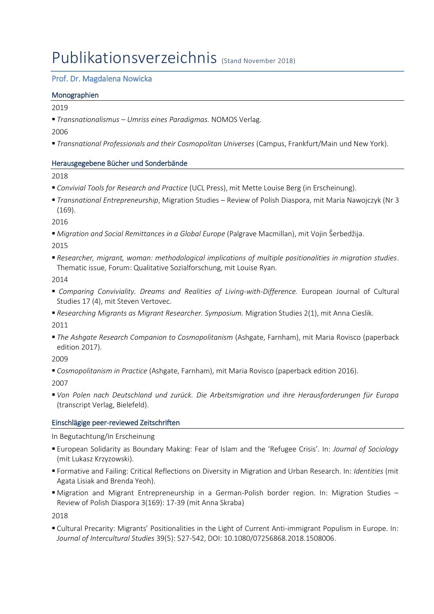# Publikationsverzeichnis (Stand November 2018)

# Prof. Dr. Magdalena Nowicka

## Monographien

## 2019

▪ *Transnationalismus – Umriss eines Paradigmas.* NOMOS Verlag.

2006

▪ *Transnational Professionals and their Cosmopolitan Universes* (Campus, Frankfurt/Main und New York).

## Herausgegebene Bücher und Sonderbände

2018

- *Convivial Tools for Research and Practice* (UCL Press), mit Mette Louise Berg (in Erscheinung).
- *Transnational Entrepreneurship*, Migration Studies Review of Polish Diaspora, mit Maria Nawojczyk (Nr 3 (169).

2016

▪ *Migration and Social Remittances in a Global Europe* (Palgrave Macmillan), mit Vojin Šerbedžija.

2015

▪ *Researcher, migrant, woman: methodological implications of multiple positionalities in migration studies*. Thematic issue, Forum: Qualitative Sozialforschung, mit Louise Ryan.

2014

- *Comparing Conviviality. Dreams and Realities of Living-with-Difference.* European Journal of Cultural Studies 17 (4), mit Steven Vertovec.
- *Researching Migrants as Migrant Researcher. Symposium.* Migration Studies 2(1), mit Anna Cieslik.

2011

▪ *The Ashgate Research Companion to Cosmopolitanism* (Ashgate, Farnham), mit Maria Rovisco (paperback edition 2017).

2009

▪ *Cosmopolitanism in Practice* (Ashgate, Farnham), mit Maria Rovisco (paperback edition 2016).

2007

▪ *Von Polen nach Deutschland und zurück. Die Arbeitsmigration und ihre Herausforderungen für Europa* (transcript Verlag, Bielefeld).

## Einschlägige peer-reviewed Zeitschriften

In Begutachtung/In Erscheinung

- European Solidarity as Boundary Making: Fear of Islam and the 'Refugee Crisis'. In: *Journal of Sociology* (mit Lukasz Krzyzowski).
- Formative and Failing: Critical Reflections on Diversity in Migration and Urban Research. In: *Identities* (mit Agata Lisiak and Brenda Yeoh).
- Migration and Migrant Entrepreneurship in a German-Polish border region. In: Migration Studies Review of Polish Diaspora 3(169): 17-39 (mit Anna Skraba)

2018

▪ Cultural Precarity: Migrants' Positionalities in the Light of Current Anti-immigrant Populism in Europe. In: *Journal of Intercultural Studies* 39(5): 527-542, DOI: 10.1080/07256868.2018.1508006.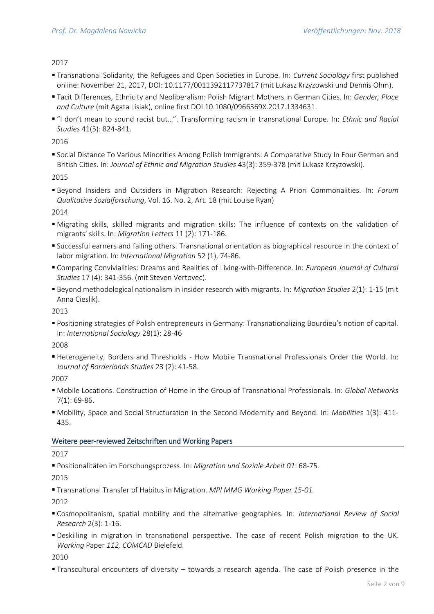- Transnational Solidarity, the Refugees and Open Societies in Europe. In: *Current Sociology* first published online: November 21, 2017, DOI: 10.1177/0011392117737817 (mit Lukasz Krzyzowski und Dennis Ohm).
- Tacit Differences, Ethnicity and Neoliberalism: Polish Migrant Mothers in German Cities. In: *Gender, Place and Culture* (mit Agata Lisiak), online first DOI 10.1080/0966369X.2017.1334631.
- "I don't mean to sound racist but…". Transforming racism in transnational Europe. In: *Ethnic and Racial Studies* 41(5): 824-841.

2016

**Social Distance To Various Minorities Among Polish Immigrants: A Comparative Study In Four German and** British Cities. In: *Journal of Ethnic and Migration Studies* 43(3): 359-378 (mit Lukasz Krzyzowski).

2015

▪ Beyond Insiders and Outsiders in Migration Research: Rejecting A Priori Commonalities. In: *Forum Qualitative Sozialforschung*, Vol. 16. No. 2, Art. 18 (mit Louise Ryan)

2014

- Migrating skills, skilled migrants and migration skills: The influence of contexts on the validation of migrants' skills. In: *Migration Letters* 11 (2): 171-186.
- Successful earners and failing others. Transnational orientation as biographical resource in the context of labor migration. In: *International Migration* 52 (1), 74-86.
- Comparing Convivialities: Dreams and Realities of Living-with-Difference. In: *European Journal of Cultural Studies* 17 (4): 341-356. (mit Steven Vertovec).
- Beyond methodological nationalism in insider research with migrants. In: *Migration Studies* 2(1): 1-15 (mit Anna Cieslik).

2013

▪ Positioning strategies of Polish entrepreneurs in Germany: Transnationalizing Bourdieu's notion of capital. In: *International Sociology* 28(1): 28-46

2008

▪ Heterogeneity, Borders and Thresholds - How Mobile Transnational Professionals Order the World. In: *Journal of Borderlands Studies* 23 (2): 41-58.

2007

- Mobile Locations. Construction of Home in the Group of Transnational Professionals. In: *Global Networks* 7(1): 69-86.
- Mobility, Space and Social Structuration in the Second Modernity and Beyond. In: *Mobilities* 1(3): 411- 435.

#### Weitere peer-reviewed Zeitschriften und Working Papers

2017

▪ Positionalitäten im Forschungsprozess. In: *Migration und Soziale Arbeit 01*: 68-75.

2015

▪ Transnational Transfer of Habitus in Migration. *MPI MMG Working Paper 15-01.*

2012

- Cosmopolitanism, spatial mobility and the alternative geographies. In: *International Review of Social Research* 2(3): 1-16.
- Deskilling in migration in transnational perspective. The case of recent Polish migration to the UK. *Working* Paper *112, COMCAD* Bielefeld.

2010

▪ Transcultural encounters of diversity – towards a research agenda. The case of Polish presence in the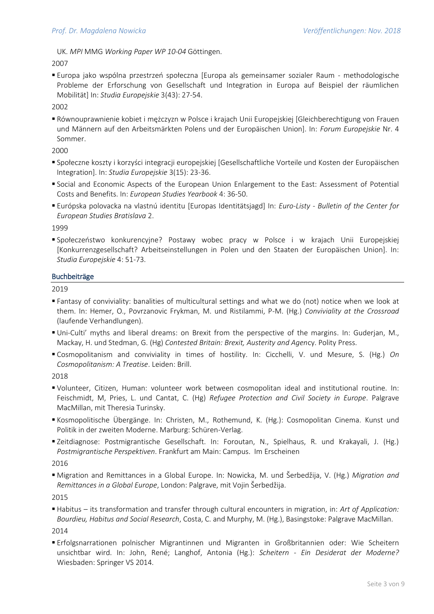UK. *MPI* MMG *Working Paper WP 10-04* Göttingen.

2007

▪ Europa jako wspólna przestrzeń społeczna [Europa als gemeinsamer sozialer Raum - methodologische Probleme der Erforschung von Gesellschaft und Integration in Europa auf Beispiel der räumlichen Mobilität] In: *Studia Europejskie* 3(43): 27-54.

2002

▪ Równouprawnienie kobiet i mężczyzn w Polsce i krajach Unii Europejskiej [Gleichberechtigung von Frauen und Männern auf den Arbeitsmärkten Polens und der Europäischen Union]. In: *Forum Europejskie* Nr. 4 Sommer.

2000

- Społeczne koszty i korzyści integracji europejskiej [Gesellschaftliche Vorteile und Kosten der Europäischen Integration]. In: *Studia Europejskie* 3(15): 23-36.
- Social and Economic Aspects of the European Union Enlargement to the East: Assessment of Potential Costs and Benefits. In: *European Studies Yearbook* 4: 36-50.
- Európska polovacka na vlastnú identitu [Europas Identitätsjagd] In: *Euro-Listy Bulletin of the Center for European Studies Bratislava* 2.

1999

▪ Społeczeństwo konkurencyjne? Postawy wobec pracy w Polsce i w krajach Unii Europejskiej [Konkurrenzgesellschaft? Arbeitseinstellungen in Polen und den Staaten der Europäischen Union]. In: *Studia Europejskie* 4: 51-73.

#### Buchbeiträge

2019

- Fantasy of conviviality: banalities of multicultural settings and what we do (not) notice when we look at them. In: Hemer, O., Povrzanovic Frykman, M. und Ristilammi, P-M. (Hg.) *Conviviality at the Crossroad* (laufende Verhandlungen).
- Uni-Culti' myths and liberal dreams: on Brexit from the perspective of the margins. In: Guderjan, M., Mackay, H. und Stedman, G. (Hg) *Contested Britain: Brexit, Austerity and Agen*cy. Polity Press.
- Cosmopolitanism and conviviality in times of hostility. In: Cicchelli, V. und Mesure, S. (Hg.) *On Cosmopolitanism: A Treatise*. Leiden: Brill.

2018

- Volunteer, Citizen, Human: volunteer work between cosmopolitan ideal and institutional routine. In: Feischmidt, M, Pries, L. und Cantat, C. (Hg) *Refugee Protection and Civil Society in Europe*. Palgrave MacMillan, mit Theresia Turinsky.
- Kosmopolitische Übergänge. In: Christen, M., Rothemund, K. (Hg.): Cosmopolitan Cinema. Kunst und Politik in der zweiten Moderne. Marburg: Schüren-Verlag.
- Zeitdiagnose: Postmigrantische Gesellschaft. In: Foroutan, N., Spielhaus, R. und Krakayali, J. (Hg.) *Postmigrantische Perspektiven*. Frankfurt am Main: Campus. Im Erscheinen

2016

▪ Migration and Remittances in a Global Europe. In: Nowicka, M. und Šerbedžija, V. (Hg.) *Migration and Remittances in a Global Europe*, London: Palgrave, mit Vojin Šerbedžija.

2015

▪ Habitus – its transformation and transfer through cultural encounters in migration, in: *Art of Application: Bourdieu, Habitus and Social Research*, Costa, C. and Murphy, M. (Hg.), Basingstoke: Palgrave MacMillan.

2014

▪ Erfolgsnarrationen polnischer Migrantinnen und Migranten in Großbritannien oder: Wie Scheitern unsichtbar wird. In: John, René; Langhof, Antonia (Hg.): *Scheitern - Ein Desiderat der Moderne?* Wiesbaden: Springer VS 2014.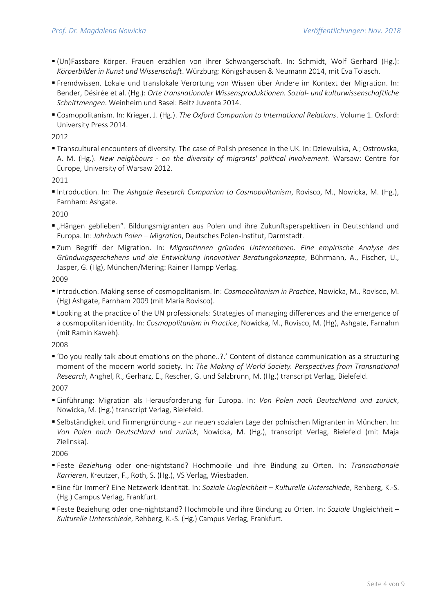- (Un)Fassbare Körper. Frauen erzählen von ihrer Schwangerschaft. In: Schmidt, Wolf Gerhard (Hg.): *Körperbilder in Kunst und Wissenschaft*. Würzburg: Königshausen & Neumann 2014, mit Eva Tolasch.
- Fremdwissen. Lokale und translokale Verortung von Wissen über Andere im Kontext der Migration. In: Bender, Désirée et al. (Hg.): *Orte transnationaler Wissensproduktionen. Sozial- und kulturwissenschaftliche Schnittmengen*. Weinheim und Basel: Beltz Juventa 2014.
- Cosmopolitanism. In: Krieger, J. (Hg.). *The Oxford Companion to International Relations*. Volume 1. Oxford: University Press 2014.

▪ Transcultural encounters of diversity. The case of Polish presence in the UK. In: Dziewulska, A.; Ostrowska, A. M. (Hg.). *New neighbours - on the diversity of migrants' political involvement*. Warsaw: Centre for Europe, University of Warsaw 2012.

2011

▪ Introduction. In: *The Ashgate Research Companion to Cosmopolitanism*, Rovisco, M., Nowicka, M. (Hg.), Farnham: Ashgate.

2010

- "Hängen geblieben". Bildungsmigranten aus Polen und ihre Zukunftsperspektiven in Deutschland und Europa. In: *Jahrbuch Polen – Migration*, Deutsches Polen-Institut, Darmstadt.
- Zum Begriff der Migration. In: *Migrantinnen gründen Unternehmen. Eine empirische Analyse des Gründungsgeschehens und die Entwicklung innovativer Beratungskonzepte*, Bührmann, A., Fischer, U., Jasper, G. (Hg), München/Mering: Rainer Hampp Verlag.

2009

- Introduction. Making sense of cosmopolitanism. In: *Cosmopolitanism in Practice*, Nowicka, M., Rovisco, M. (Hg) Ashgate, Farnham 2009 (mit Maria Rovisco).
- Looking at the practice of the UN professionals: Strategies of managing differences and the emergence of a cosmopolitan identity. In: *Cosmopolitanism in Practice*, Nowicka, M., Rovisco, M. (Hg), Ashgate, Farnahm (mit Ramin Kaweh).

2008

▪ 'Do you really talk about emotions on the phone..?.' Content of distance communication as a structuring moment of the modern world society. In: *The Making of World Society. Perspectives from Transnational Research*, Anghel, R., Gerharz, E., Rescher, G. und Salzbrunn, M. (Hg,) transcript Verlag, Bielefeld.

2007

- Einführung: Migration als Herausforderung für Europa. In: *Von Polen nach Deutschland und zurück*, Nowicka, M. (Hg.) transcript Verlag, Bielefeld.
- Selbständigkeit und Firmengründung zur neuen sozialen Lage der polnischen Migranten in München. In: *Von Polen nach Deutschland und zurück*, Nowicka, M. (Hg.), transcript Verlag, Bielefeld (mit Maja Zielinska).

- Feste *Beziehung* oder one-nightstand? Hochmobile und ihre Bindung zu Orten. In: *Transnationale Karrieren*, Kreutzer, F., Roth, S. (Hg.), VS Verlag, Wiesbaden.
- Eine für Immer? Eine Netzwerk Identität. In: *Soziale Ungleichheit – Kulturelle Unterschiede*, Rehberg, K.-S. (Hg.) Campus Verlag, Frankfurt.
- Feste Beziehung oder one-nightstand? Hochmobile und ihre Bindung zu Orten. In: *Soziale* Ungleichheit *– Kulturelle Unterschiede*, Rehberg, K.-S. (Hg.) Campus Verlag, Frankfurt.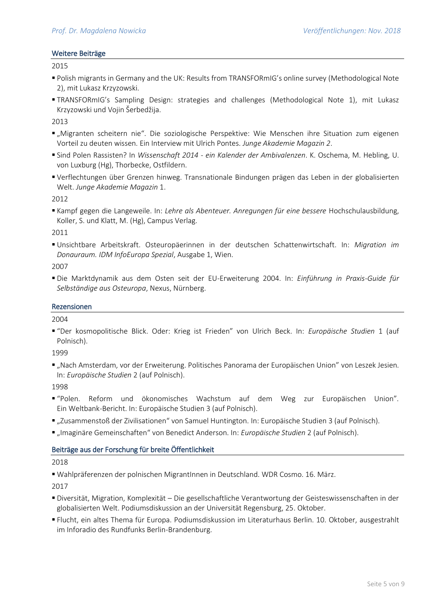#### Weitere Beiträge

2015

- Polish migrants in Germany and the UK: Results from TRANSFORmIG's online survey (Methodological Note 2), mit Lukasz Krzyzowski.
- TRANSFORmIG's Sampling Design: strategies and challenges (Methodological Note 1), mit Lukasz Krzyzowski und Vojin Šerbedžija.

2013

- "Migranten scheitern nie". Die soziologische Perspektive: Wie Menschen ihre Situation zum eigenen Vorteil zu deuten wissen. Ein Interview mit Ulrich Pontes. *Junge Akademie Magazin 2*.
- Sind Polen Rassisten? In *Wissenschaft 2014 - ein Kalender der Ambivalenzen*. K. Oschema, M. Hebling, U. von Luxburg (Hg), Thorbecke, Ostfildern.
- Verflechtungen über Grenzen hinweg. Transnationale Bindungen prägen das Leben in der globalisierten Welt. *Junge Akademie Magazin* 1.

2012

▪ Kampf gegen die Langeweile. In: *Lehre als Abenteuer. Anregungen für eine bessere* Hochschulausbildung, Koller, S. und Klatt, M. (Hg), Campus Verlag.

2011

▪ Unsichtbare Arbeitskraft. Osteuropäerinnen in der deutschen Schattenwirtschaft. In: *Migration im Donauraum. IDM InfoEuropa Spezial*, Ausgabe 1, Wien.

2007

▪ Die Marktdynamik aus dem Osten seit der EU-Erweiterung 2004. In: *Einführung in Praxis-Guide für Selbständige aus Osteuropa*, Nexus, Nürnberg.

#### Rezensionen

2004

▪ "Der kosmopolitische Blick. Oder: Krieg ist Frieden" von Ulrich Beck. In: *Europäische Studien* 1 (auf Polnisch).

1999

▪ "Nach Amsterdam, vor der Erweiterung. Politisches Panorama der Europäischen Union" von Leszek Jesien. In: *Europäische Studien* 2 (auf Polnisch).

1998

- "Polen. Reform und ökonomisches Wachstum auf dem Weg zur Europäischen Union". Ein Weltbank-Bericht. In: Europäische Studien 3 (auf Polnisch).
- "Zusammenstoß der Zivilisationen" von Samuel Huntington. In: Europäische Studien 3 (auf Polnisch).
- "Imaginäre Gemeinschaften" von Benedict Anderson. In: *Europäische Studien* 2 (auf Polnisch).

#### Beiträge aus der Forschung für breite Öffentlichkeit

2018

▪ Wahlpräferenzen der polnischen MigrantInnen in Deutschland. WDR Cosmo. 16. März.

- Diversität, Migration, Komplexität Die gesellschaftliche Verantwortung der Geisteswissenschaften in der globalisierten Welt. Podiumsdiskussion an der Universität Regensburg, 25. Oktober.
- Flucht, ein altes Thema für Europa. Podiumsdiskussion im Literaturhaus Berlin. 10. Oktober, ausgestrahlt im Inforadio des Rundfunks Berlin-Brandenburg.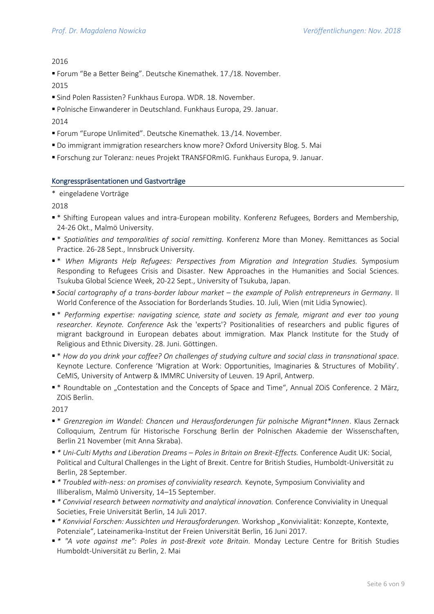■ Forum "Be a Better Being". Deutsche Kinemathek. 17./18. November.

2015

- Sind Polen Rassisten? Funkhaus Europa. WDR. 18. November.
- Polnische Einwanderer in Deutschland. Funkhaus Europa, 29. Januar.

2014

- Forum "Europe Unlimited". Deutsche Kinemathek. 13./14. November.
- Do immigrant immigration researchers know more? Oxford University Blog. 5. Mai
- Forschung zur Toleranz: neues Projekt TRANSFORmIG. Funkhaus Europa, 9. Januar.

### Kongresspräsentationen und Gastvorträge

\* eingeladene Vorträge

2018

- \* Shifting European values and intra-European mobility. Konferenz Refugees, Borders and Membership, 24-26 Okt., Malmö University.
- \* *Spatialities and temporalities of social remitting.* Konferenz More than Money. Remittances as Social Practice. 26-28 Sept., Innsbruck University.
- \* *When Migrants Help Refugees: Perspectives from Migration and Integration Studies.* Symposium Responding to Refugees Crisis and Disaster. New Approaches in the Humanities and Social Sciences. Tsukuba Global Science Week, 20-22 Sept., University of Tsukuba, Japan.
- *Social cartography of a trans-border labour market the example of Polish entrepreneurs in Germany*. II World Conference of the Association for Borderlands Studies. 10. Juli, Wien (mit Lidia Synowiec).
- \* Performing expertise: navigating science, state and society as female, migrant and ever too young *researcher. Keynote. Conference* Ask the 'experts'? Positionalities of researchers and public figures of migrant background in European debates about immigration. Max Planck Institute for the Study of Religious and Ethnic Diversity. 28. Juni. Göttingen.
- \* *How do you drink your coffee? On challenges of studying culture and social class in transnational space*. Keynote Lecture. Conference 'Migration at Work: Opportunities, Imaginaries & Structures of Mobility'. CeMIS, University of Antwerp & IMMRC University of Leuven. 19 April, Antwerp.
- \* Roundtable on "Contestation and the Concepts of Space and Time", Annual ZOiS Conference. 2 März, ZOiS Berlin.

- \* *Grenzregion im Wandel: Chancen und Herausforderungen für polnische Migrant\*Innen*. Klaus Zernack Colloquium, Zentrum für Historische Forschung Berlin der Polnischen Akademie der Wissenschaften, Berlin 21 November (mit Anna Skraba).
- *\* Uni-Culti Myths and Liberation Dreams – Poles in Britain on Brexit-Effects.* Conference Audit UK: Social, Political and Cultural Challenges in the Light of Brexit. Centre for British Studies, Humboldt-Universität zu Berlin, 28 September.
- *\* Troubled with-ness: on promises of conviviality research.* Keynote, Symposium Conviviality and Illiberalism, Malmö University, 14–15 September.
- *\* Convivial research between normativity and analytical innovation.* Conference Conviviality in Unequal Societies, Freie Universität Berlin, 14 Juli 2017.
- \* *Konvivial Forschen: Aussichten und Herausforderungen.* Workshop "Konvivialität: Konzepte, Kontexte, Potenziale", Lateinamerika-Institut der Freien Universität Berlin, 16 Juni 2017.
- *\* "A vote against me": Poles in post-Brexit vote Britain.* Monday Lecture Centre for British Studies Humboldt-Universität zu Berlin, 2. Mai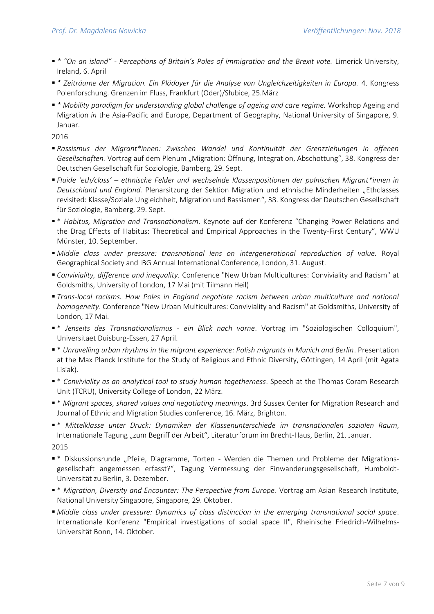- *\* "On an island" Perceptions of Britain's Poles of immigration and the Brexit vote. Limerick University,* Ireland, 6. April
- *\* Zeiträume der Migration. Ein Plädoyer für die Analyse von Ungleichzeitigkeiten in Europa.* 4. Kongress Polenforschung. Grenzen im Fluss, Frankfurt (Oder)/Słubice, 25.März
- *\* Mobility paradigm for understanding global challenge of ageing and care regime.* Workshop Ageing and Migration *in* the Asia-Pacific and Europe, Department of Geography, National University of Singapore, 9. Januar.

- *Rassismus der Migrant\*innen: Zwischen Wandel und Kontinuität der Grenzziehungen in offenen*  Gesellschaften. Vortrag auf dem Plenum "Migration: Öffnung, Integration, Abschottung", 38. Kongress der Deutschen Gesellschaft für Soziologie, Bamberg, 29. Sept.
- *Fluide 'eth/class' – ethnische Felder und wechselnde Klassenpositionen der polnischen Migrant\*innen in Deutschland und England.* Plenarsitzung der Sektion Migration und ethnische Minderheiten "Ethclasses revisited: Klasse/Soziale Ungleichheit, Migration und Rassismen", 38. Kongress der Deutschen Gesellschaft für Soziologie, Bamberg, 29. Sept.
- \* *Habitus, Migration and Transnationalism*. Keynote auf der Konferenz "Changing Power Relations and the Drag Effects of Habitus: Theoretical and Empirical Approaches in the Twenty-First Century", WWU Münster, 10. September.
- *Middle class under pressure: transnational lens on intergenerational reproduction of value.* Royal Geographical Society and IBG Annual International Conference, London, 31. August.
- *Conviviality, difference and inequality.* Conference "New Urban Multicultures: Conviviality and Racism" at Goldsmiths, University of London, 17 Mai (mit Tilmann Heil)
- *Trans-local racisms. How Poles in England negotiate racism between urban multiculture and national homogeneity*. Conference "New Urban Multicultures: Conviviality and Racism" at Goldsmiths, University of London, 17 Mai.
- \* *Jenseits des Transnationalismus - ein Blick nach vorne*. Vortrag im "Soziologischen Colloquium", Universitaet Duisburg-Essen, 27 April.
- \* *Unravelling urban rhythms in the migrant experience: Polish migrants in Munich and Berlin*. Presentation at the Max Planck Institute for the Study of Religious and Ethnic Diversity, Göttingen, 14 April (mit Agata Lisiak).
- \* *Conviviality as an analytical tool to study human togetherness*. Speech at the Thomas Coram Research Unit (TCRU), University College of London, 22 März.
- \* *Migrant spaces, shared values and negotiating meanings*. 3rd Sussex Center for Migration Research and Journal of Ethnic and Migration Studies conference, 16. März, Brighton.
- \* *Mittelklasse unter Druck: Dynamiken der Klassenunterschiede im transnationalen sozialen Raum*, Internationale Tagung "zum Begriff der Arbeit", Literaturforum im Brecht-Haus, Berlin, 21. Januar.

- \* Diskussionsrunde "Pfeile, Diagramme, Torten Werden die Themen und Probleme der Migrationsgesellschaft angemessen erfasst?", Tagung Vermessung der Einwanderungsgesellschaft, Humboldt-Universität zu Berlin, 3. Dezember.
- \* *Migration, Diversity and Encounter: The Perspective from Europe*. Vortrag am Asian Research Institute, National University Singapore, Singapore, 29. Oktober.
- *Middle class under pressure: Dynamics of class distinction in the emerging transnational social space*. Internationale Konferenz "Empirical investigations of social space II", Rheinische Friedrich-Wilhelms-Universität Bonn, 14. Oktober.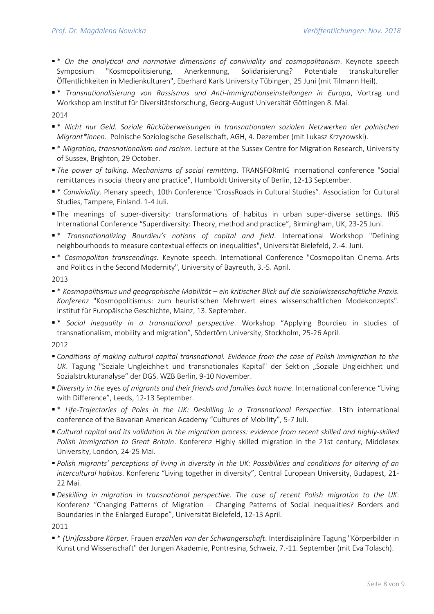- <sup>\*</sup> *On the analytical and normative dimensions of conviviality and cosmopolitanism*. Keynote speech Symposium "Kosmopolitisierung, Anerkennung, Solidarisierung? Potentiale transkultureller Öffentlichkeiten in Medienkulturen", Eberhard Karls University Tübingen, 25 Juni (mit Tilmann Heil).
- \* *Transnationalisierung von Rassismus und Anti-Immigrationseinstellungen in Europa*, Vortrag und Workshop am Institut für Diversitätsforschung, Georg-August Universität Göttingen 8. Mai.
- 2014
- \* *Nicht nur Geld. Soziale Rücküberweisungen in transnationalen sozialen Netzwerken der polnischen Migrant\*innen*. Polnische Soziologische Gesellschaft, AGH, 4. Dezember (mit Lukasz Krzyzowski).
- \* *Migration, transnationalism and racism*. Lecture at the Sussex Centre for Migration Research, University of Sussex, Brighton, 29 October.
- *The power of talking. Mechanisms of social remitting*. TRANSFORmIG international conference "Social remittances in social theory and practice", Humboldt University of Berlin, 12-13 September.
- \* *Conviviality*. Plenary speech, 10th Conference "CrossRoads in Cultural Studies". Association for Cultural Studies, Tampere, Finland. 1-4 Juli.
- The meanings of super-diversity: transformations of habitus in urban super-diverse settings. IRiS International Conference "Superdiversity: Theory, method and practice", Birmingham, UK, 23-25 Juni.
- \* *Transnationalizing Bourdieu's notions of capital and field*. International Workshop "Defining neighbourhoods to measure contextual effects on inequalities", Universität Bielefeld, 2.-4. Juni.
- \* *Cosmopolitan transcendings.* Keynote speech. International Conference "Cosmopolitan Cinema. Arts and Politics in the Second Modernity", University of Bayreuth, 3.-5. April.

- \* *Kosmopolitismus und geographische Mobilität ein kritischer Blick auf die sozialwissenschaftliche Praxis. Konferenz* "Kosmopolitismus: zum heuristischen Mehrwert eines wissenschaftlichen Modekonzepts". Institut für Europäische Geschichte, Mainz, 13. September.
- \* *Social inequality in a transnational perspective*. Workshop "Applying Bourdieu in studies of transnationalism, mobility and migration", Södertörn University, Stockholm, 25-26 April.

2012

- *Conditions of making cultural capital transnational. Evidence from the case of Polish immigration to the*  UK. Tagung "Soziale Ungleichheit und transnationales Kapital" der Sektion "Soziale Ungleichheit und Sozialstrukturanalyse" der DGS. WZB Berlin, 9-10 November.
- *Diversity in the* eyes *of migrants and their friends and families back home*. International conference "Living with Difference", Leeds, 12-13 September.
- \* *Life-Trajectories of Poles in the UK: Deskilling in a Transnational Perspective*. 13th international conference of the Bavarian American Academy "Cultures of Mobility", 5-7 Juli.
- *Cultural capital and its validation in the migration process: evidence from recent skilled and highly-skilled Polish immigration to Great Britain*. Konferenz Highly skilled migration in the 21st century, Middlesex University, London, 24-25 Mai.
- *Polish migrants' perceptions of living in diversity in the UK: Possibilities and conditions for altering of an intercultural habitus*. Konferenz "Living together in diversity", Central European University, Budapest, 21- 22 Mai.
- *Deskilling in migration in transnational perspective. The case of recent Polish migration to the UK*. Konferenz "Changing Patterns of Migration – Changing Patterns of Social Inequalities? Borders and Boundaries in the Enlarged Europe", Universität Bielefeld, 12-13 April.

2011

▪ \* *(Un)fassbare Körper.* Frauen *erzählen von der Schwangerschaft*. Interdisziplinäre Tagung "Körperbilder in Kunst und Wissenschaft" der Jungen Akademie, Pontresina, Schweiz, 7.-11. September (mit Eva Tolasch).